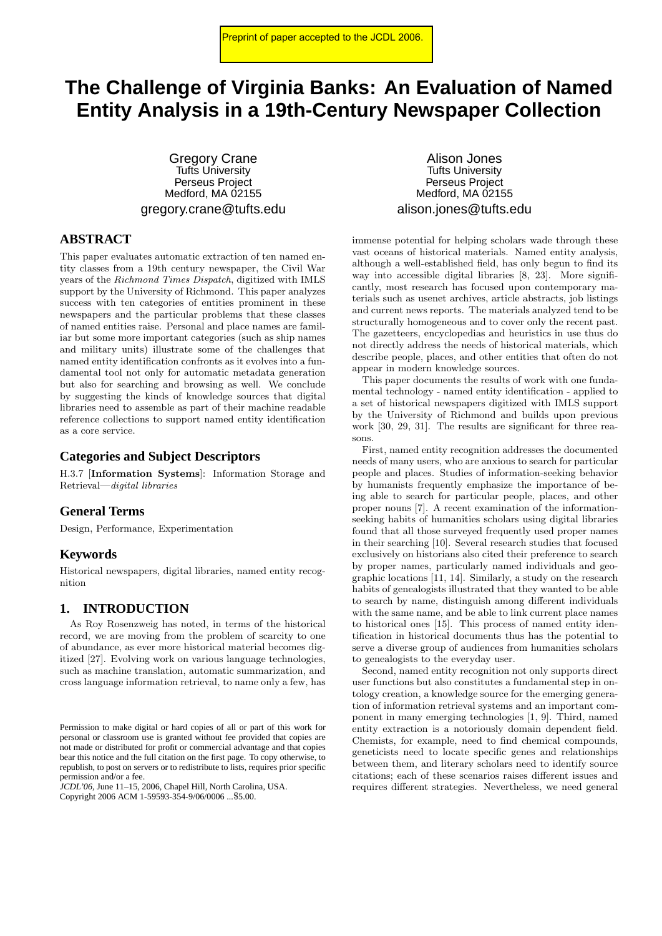# **The Challenge of Virginia Banks: An Evaluation of Named Entity Analysis in a 19th-Century Newspaper Collection**

Gregory Crane **Tufts University** Perseus Project Medford, MA 02155 gregory.crane@tufts.edu

# **ABSTRACT**

This paper evaluates automatic extraction of ten named entity classes from a 19th century newspaper, the Civil War years of the Richmond Times Dispatch, digitized with IMLS support by the University of Richmond. This paper analyzes success with ten categories of entities prominent in these newspapers and the particular problems that these classes of named entities raise. Personal and place names are familiar but some more important categories (such as ship names and military units) illustrate some of the challenges that named entity identification confronts as it evolves into a fundamental tool not only for automatic metadata generation but also for searching and browsing as well. We conclude by suggesting the kinds of knowledge sources that digital libraries need to assemble as part of their machine readable reference collections to support named entity identification as a core service.

#### **Categories and Subject Descriptors**

H.3.7 [Information Systems]: Information Storage and Retrieval—digital libraries

#### **General Terms**

Design, Performance, Experimentation

#### **Keywords**

Historical newspapers, digital libraries, named entity recognition

#### **1. INTRODUCTION**

As Roy Rosenzweig has noted, in terms of the historical record, we are moving from the problem of scarcity to one of abundance, as ever more historical material becomes digitized [27]. Evolving work on various language technologies, such as machine translation, automatic summarization, and cross language information retrieval, to name only a few, has

*JCDL'06,* June 11–15, 2006, Chapel Hill, North Carolina, USA. Copyright 2006 ACM 1-59593-354-9/06/0006 ...\$5.00.

Alison Jones Tufts University Perseus Project Medford, MA 02155 alison.jones@tufts.edu

immense potential for helping scholars wade through these vast oceans of historical materials. Named entity analysis, although a well-established field, has only begun to find its way into accessible digital libraries [8, 23]. More significantly, most research has focused upon contemporary materials such as usenet archives, article abstracts, job listings and current news reports. The materials analyzed tend to be structurally homogeneous and to cover only the recent past. The gazetteers, encyclopedias and heuristics in use thus do not directly address the needs of historical materials, which describe people, places, and other entities that often do not appear in modern knowledge sources.

This paper documents the results of work with one fundamental technology - named entity identification - applied to a set of historical newspapers digitized with IMLS support by the University of Richmond and builds upon previous work [30, 29, 31]. The results are significant for three reasons.

First, named entity recognition addresses the documented needs of many users, who are anxious to search for particular people and places. Studies of information-seeking behavior by humanists frequently emphasize the importance of being able to search for particular people, places, and other proper nouns [7]. A recent examination of the informationseeking habits of humanities scholars using digital libraries found that all those surveyed frequently used proper names in their searching [10]. Several research studies that focused exclusively on historians also cited their preference to search by proper names, particularly named individuals and geographic locations [11, 14]. Similarly, a study on the research habits of genealogists illustrated that they wanted to be able to search by name, distinguish among different individuals with the same name, and be able to link current place names to historical ones [15]. This process of named entity identification in historical documents thus has the potential to serve a diverse group of audiences from humanities scholars to genealogists to the everyday user.

Second, named entity recognition not only supports direct user functions but also constitutes a fundamental step in ontology creation, a knowledge source for the emerging generation of information retrieval systems and an important component in many emerging technologies [1, 9]. Third, named entity extraction is a notoriously domain dependent field. Chemists, for example, need to find chemical compounds, geneticists need to locate specific genes and relationships between them, and literary scholars need to identify source citations; each of these scenarios raises different issues and requires different strategies. Nevertheless, we need general

Permission to make digital or hard copies of all or part of this work for personal or classroom use is granted without fee provided that copies are not made or distributed for profit or commercial advantage and that copies bear this notice and the full citation on the first page. To copy otherwise, to republish, to post on servers or to redistribute to lists, requires prior specific permission and/or a fee.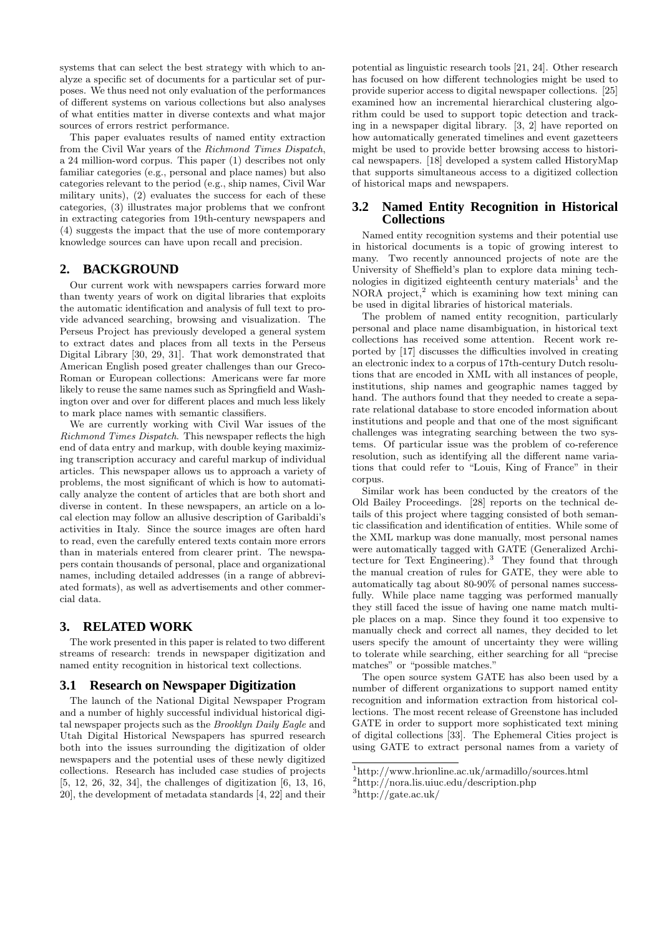systems that can select the best strategy with which to analyze a specific set of documents for a particular set of purposes. We thus need not only evaluation of the performances of different systems on various collections but also analyses of what entities matter in diverse contexts and what major sources of errors restrict performance.

This paper evaluates results of named entity extraction from the Civil War years of the Richmond Times Dispatch, a 24 million-word corpus. This paper (1) describes not only familiar categories (e.g., personal and place names) but also categories relevant to the period (e.g., ship names, Civil War military units), (2) evaluates the success for each of these categories, (3) illustrates major problems that we confront in extracting categories from 19th-century newspapers and (4) suggests the impact that the use of more contemporary knowledge sources can have upon recall and precision.

## **2. BACKGROUND**

Our current work with newspapers carries forward more than twenty years of work on digital libraries that exploits the automatic identification and analysis of full text to provide advanced searching, browsing and visualization. The Perseus Project has previously developed a general system to extract dates and places from all texts in the Perseus Digital Library [30, 29, 31]. That work demonstrated that American English posed greater challenges than our Greco-Roman or European collections: Americans were far more likely to reuse the same names such as Springfield and Washington over and over for different places and much less likely to mark place names with semantic classifiers.

We are currently working with Civil War issues of the Richmond Times Dispatch. This newspaper reflects the high end of data entry and markup, with double keying maximizing transcription accuracy and careful markup of individual articles. This newspaper allows us to approach a variety of problems, the most significant of which is how to automatically analyze the content of articles that are both short and diverse in content. In these newspapers, an article on a local election may follow an allusive description of Garibaldi's activities in Italy. Since the source images are often hard to read, even the carefully entered texts contain more errors than in materials entered from clearer print. The newspapers contain thousands of personal, place and organizational names, including detailed addresses (in a range of abbreviated formats), as well as advertisements and other commercial data.

#### **3. RELATED WORK**

The work presented in this paper is related to two different streams of research: trends in newspaper digitization and named entity recognition in historical text collections.

#### **3.1 Research on Newspaper Digitization**

The launch of the National Digital Newspaper Program and a number of highly successful individual historical digital newspaper projects such as the Brooklyn Daily Eagle and Utah Digital Historical Newspapers has spurred research both into the issues surrounding the digitization of older newspapers and the potential uses of these newly digitized collections. Research has included case studies of projects [5, 12, 26, 32, 34], the challenges of digitization [6, 13, 16, 20], the development of metadata standards [4, 22] and their

potential as linguistic research tools [21, 24]. Other research has focused on how different technologies might be used to provide superior access to digital newspaper collections. [25] examined how an incremental hierarchical clustering algorithm could be used to support topic detection and tracking in a newspaper digital library. [3, 2] have reported on how automatically generated timelines and event gazetteers might be used to provide better browsing access to historical newspapers. [18] developed a system called HistoryMap that supports simultaneous access to a digitized collection of historical maps and newspapers.

## **3.2 Named Entity Recognition in Historical Collections**

Named entity recognition systems and their potential use in historical documents is a topic of growing interest to many. Two recently announced projects of note are the University of Sheffield's plan to explore data mining technologies in digitized eighteenth century materials<sup>1</sup> and the  $NORA$  project,<sup>2</sup> which is examining how text mining can be used in digital libraries of historical materials.

The problem of named entity recognition, particularly personal and place name disambiguation, in historical text collections has received some attention. Recent work reported by [17] discusses the difficulties involved in creating an electronic index to a corpus of 17th-century Dutch resolutions that are encoded in XML with all instances of people, institutions, ship names and geographic names tagged by hand. The authors found that they needed to create a separate relational database to store encoded information about institutions and people and that one of the most significant challenges was integrating searching between the two systems. Of particular issue was the problem of co-reference resolution, such as identifying all the different name variations that could refer to "Louis, King of France" in their corpus.

Similar work has been conducted by the creators of the Old Bailey Proceedings. [28] reports on the technical details of this project where tagging consisted of both semantic classification and identification of entities. While some of the XML markup was done manually, most personal names were automatically tagged with GATE (Generalized Architecture for Text Engineering).<sup>3</sup> They found that through the manual creation of rules for GATE, they were able to automatically tag about 80-90% of personal names successfully. While place name tagging was performed manually they still faced the issue of having one name match multiple places on a map. Since they found it too expensive to manually check and correct all names, they decided to let users specify the amount of uncertainty they were willing to tolerate while searching, either searching for all "precise matches" or "possible matches."

The open source system GATE has also been used by a number of different organizations to support named entity recognition and information extraction from historical collections. The most recent release of Greenstone has included GATE in order to support more sophisticated text mining of digital collections [33]. The Ephemeral Cities project is using GATE to extract personal names from a variety of

 $3$ http://gate.ac.uk/

<sup>1</sup>http://www.hrionline.ac.uk/armadillo/sources.html

<sup>2</sup>http://nora.lis.uiuc.edu/description.php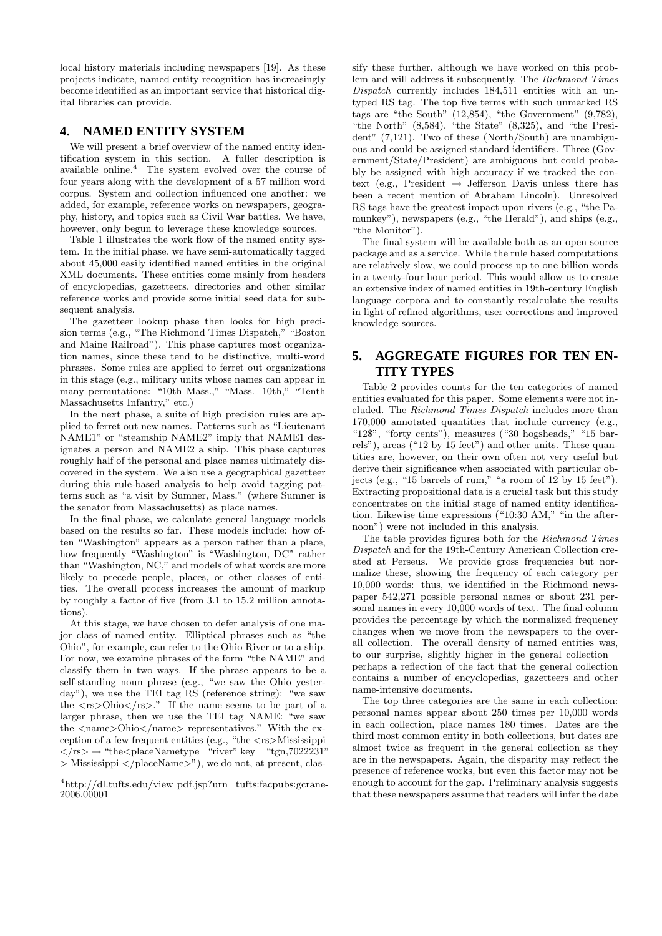local history materials including newspapers [19]. As these projects indicate, named entity recognition has increasingly become identified as an important service that historical digital libraries can provide.

## **4. NAMED ENTITY SYSTEM**

We will present a brief overview of the named entity identification system in this section. A fuller description is available online.<sup>4</sup> The system evolved over the course of four years along with the development of a 57 million word corpus. System and collection influenced one another: we added, for example, reference works on newspapers, geography, history, and topics such as Civil War battles. We have, however, only begun to leverage these knowledge sources.

Table 1 illustrates the work flow of the named entity system. In the initial phase, we have semi-automatically tagged about 45,000 easily identified named entities in the original XML documents. These entities come mainly from headers of encyclopedias, gazetteers, directories and other similar reference works and provide some initial seed data for subsequent analysis.

The gazetteer lookup phase then looks for high precision terms (e.g., "The Richmond Times Dispatch," "Boston and Maine Railroad"). This phase captures most organization names, since these tend to be distinctive, multi-word phrases. Some rules are applied to ferret out organizations in this stage (e.g., military units whose names can appear in many permutations: "10th Mass.," "Mass. 10th," "Tenth Massachusetts Infantry," etc.)

In the next phase, a suite of high precision rules are applied to ferret out new names. Patterns such as "Lieutenant NAME1" or "steamship NAME2" imply that NAME1 designates a person and NAME2 a ship. This phase captures roughly half of the personal and place names ultimately discovered in the system. We also use a geographical gazetteer during this rule-based analysis to help avoid tagging patterns such as "a visit by Sumner, Mass." (where Sumner is the senator from Massachusetts) as place names.

In the final phase, we calculate general language models based on the results so far. These models include: how often "Washington" appears as a person rather than a place, how frequently "Washington" is "Washington, DC" rather than "Washington, NC," and models of what words are more likely to precede people, places, or other classes of entities. The overall process increases the amount of markup by roughly a factor of five (from 3.1 to 15.2 million annotations).

At this stage, we have chosen to defer analysis of one major class of named entity. Elliptical phrases such as "the Ohio", for example, can refer to the Ohio River or to a ship. For now, we examine phrases of the form "the NAME" and classify them in two ways. If the phrase appears to be a self-standing noun phrase (e.g., "we saw the Ohio yesterday"), we use the TEI tag RS (reference string): "we saw the  $\langle rs \rangle$ Ohio $\langle rs \rangle$ ." If the name seems to be part of a larger phrase, then we use the TEI tag NAME: "we saw the  $\langle$ name $\rangle$ Ohio $\langle$ /name $\rangle$  representatives." With the exception of a few frequent entities (e.g., "the <rs>Mississippi  $\langle$ rs>  $\rightarrow$  "the $\langle$ placeNametype="river" key = "tgn,7022231"  $>$  Mississippi  $\langle$ /placeName $>$ "), we do not, at present, clas-

sify these further, although we have worked on this problem and will address it subsequently. The Richmond Times Dispatch currently includes 184,511 entities with an untyped RS tag. The top five terms with such unmarked RS tags are "the South" (12,854), "the Government" (9,782), "the North"  $(8,584)$ , "the State"  $(8,325)$ , and "the President" (7,121). Two of these (North/South) are unambiguous and could be assigned standard identifiers. Three (Government/State/President) are ambiguous but could probably be assigned with high accuracy if we tracked the context (e.g., President  $\rightarrow$  Jefferson Davis unless there has been a recent mention of Abraham Lincoln). Unresolved RS tags have the greatest impact upon rivers (e.g., "the Pamunkey"), newspapers (e.g., "the Herald"), and ships (e.g., "the Monitor").

The final system will be available both as an open source package and as a service. While the rule based computations are relatively slow, we could process up to one billion words in a twenty-four hour period. This would allow us to create an extensive index of named entities in 19th-century English language corpora and to constantly recalculate the results in light of refined algorithms, user corrections and improved knowledge sources.

# **5. AGGREGATE FIGURES FOR TEN EN-TITY TYPES**

Table 2 provides counts for the ten categories of named entities evaluated for this paper. Some elements were not included. The Richmond Times Dispatch includes more than 170,000 annotated quantities that include currency (e.g., "12\$", "forty cents"), measures ("30 hogsheads," "15 barrels"), areas ("12 by 15 feet") and other units. These quantities are, however, on their own often not very useful but derive their significance when associated with particular objects (e.g., "15 barrels of rum," "a room of 12 by 15 feet"). Extracting propositional data is a crucial task but this study concentrates on the initial stage of named entity identification. Likewise time expressions ("10:30 AM," "in the afternoon") were not included in this analysis.

The table provides figures both for the Richmond Times Dispatch and for the 19th-Century American Collection created at Perseus. We provide gross frequencies but normalize these, showing the frequency of each category per 10,000 words: thus, we identified in the Richmond newspaper 542,271 possible personal names or about 231 personal names in every 10,000 words of text. The final column provides the percentage by which the normalized frequency changes when we move from the newspapers to the overall collection. The overall density of named entities was, to our surprise, slightly higher in the general collection – perhaps a reflection of the fact that the general collection contains a number of encyclopedias, gazetteers and other name-intensive documents.

The top three categories are the same in each collection: personal names appear about 250 times per 10,000 words in each collection, place names 180 times. Dates are the third most common entity in both collections, but dates are almost twice as frequent in the general collection as they are in the newspapers. Again, the disparity may reflect the presence of reference works, but even this factor may not be enough to account for the gap. Preliminary analysis suggests that these newspapers assume that readers will infer the date

<sup>4</sup>http://dl.tufts.edu/view pdf.jsp?urn=tufts:facpubs:gcrane-2006.00001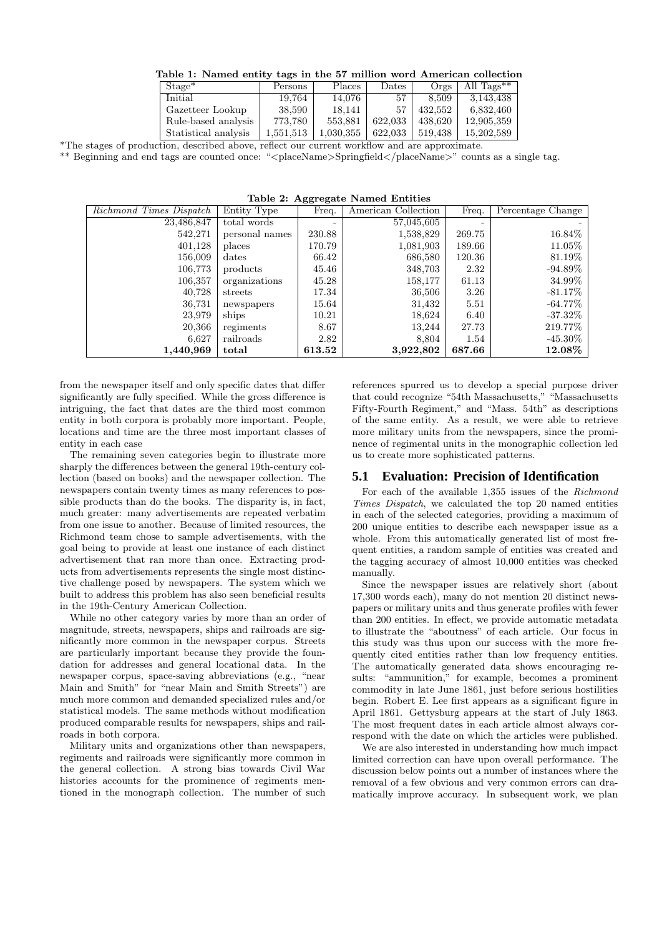|  |  |  |  |  |  |  |  | Table 1: Named entity tags in the 57 million word American collection |  |
|--|--|--|--|--|--|--|--|-----------------------------------------------------------------------|--|
|--|--|--|--|--|--|--|--|-----------------------------------------------------------------------|--|

| $Stage*$             | Persons   | Places    | Dates   | Orgs    | All Tags <sup>**</sup> |
|----------------------|-----------|-----------|---------|---------|------------------------|
| Initial              | 19.764    | 14,076    | 57      | 8.509   | 3,143,438              |
| Gazetteer Lookup     | 38,590    | 18.141    | .57     | 432,552 | 6.832.460              |
| Rule-based analysis  | 773,780   | 553.881   | 622.033 | 438.620 | 12,905,359             |
| Statistical analysis | 1.551.513 | 1,030,355 | 622,033 | 519.438 | 15,202,589             |

\*The stages of production, described above, reflect our current workflow and are approximate.

\*\* Beginning and end tags are counted once: "<placeName>Springfield</placeName>" counts as a single tag.

| $-0.5 - 0.000$          |                |        |                     |                          |                   |  |  |
|-------------------------|----------------|--------|---------------------|--------------------------|-------------------|--|--|
| Richmond Times Dispatch | Entity Type    | Freq.  | American Collection | Freq.                    | Percentage Change |  |  |
| 23,486,847              | total words    |        | 57,045,605          | $\overline{\phantom{0}}$ |                   |  |  |
| 542,271                 | personal names | 230.88 | 1,538,829           | 269.75                   | 16.84\%           |  |  |
| 401,128                 | places         | 170.79 | 1,081,903           | 189.66                   | 11.05%            |  |  |
| 156,009                 | dates          | 66.42  | 686,580             | 120.36                   | 81.19%            |  |  |
| 106,773                 | products       | 45.46  | 348,703             | 2.32                     | $-94.89\%$        |  |  |
| 106,357                 | organizations  | 45.28  | 158,177             | 61.13                    | 34.99%            |  |  |
| 40,728                  | streets        | 17.34  | 36,506              | 3.26                     | $-81.17\%$        |  |  |
| 36,731                  | newspapers     | 15.64  | 31,432              | 5.51                     | -64.77 $\%$       |  |  |
| 23,979                  | ships          | 10.21  | 18,624              | 6.40                     | $-37.32\%$        |  |  |
| 20,366                  | regiments      | 8.67   | 13,244              | 27.73                    | 219.77\%          |  |  |
| 6,627                   | railroads      | 2.82   | 8,804               | 1.54                     | $-45.30\%$        |  |  |
| 1,440,969               | total          | 613.52 | 3,922,802           | 687.66                   | $12.08\%$         |  |  |

Table 2: Aggregate Named Entities

from the newspaper itself and only specific dates that differ significantly are fully specified. While the gross difference is intriguing, the fact that dates are the third most common entity in both corpora is probably more important. People, locations and time are the three most important classes of entity in each case

The remaining seven categories begin to illustrate more sharply the differences between the general 19th-century collection (based on books) and the newspaper collection. The newspapers contain twenty times as many references to possible products than do the books. The disparity is, in fact, much greater: many advertisements are repeated verbatim from one issue to another. Because of limited resources, the Richmond team chose to sample advertisements, with the goal being to provide at least one instance of each distinct advertisement that ran more than once. Extracting products from advertisements represents the single most distinctive challenge posed by newspapers. The system which we built to address this problem has also seen beneficial results in the 19th-Century American Collection.

While no other category varies by more than an order of magnitude, streets, newspapers, ships and railroads are significantly more common in the newspaper corpus. Streets are particularly important because they provide the foundation for addresses and general locational data. In the newspaper corpus, space-saving abbreviations (e.g., "near Main and Smith" for "near Main and Smith Streets") are much more common and demanded specialized rules and/or statistical models. The same methods without modification produced comparable results for newspapers, ships and railroads in both corpora.

Military units and organizations other than newspapers, regiments and railroads were significantly more common in the general collection. A strong bias towards Civil War histories accounts for the prominence of regiments mentioned in the monograph collection. The number of such references spurred us to develop a special purpose driver that could recognize "54th Massachusetts," "Massachusetts Fifty-Fourth Regiment," and "Mass. 54th" as descriptions of the same entity. As a result, we were able to retrieve more military units from the newspapers, since the prominence of regimental units in the monographic collection led us to create more sophisticated patterns.

#### **5.1 Evaluation: Precision of Identification**

For each of the available 1,355 issues of the Richmond Times Dispatch, we calculated the top 20 named entities in each of the selected categories, providing a maximum of 200 unique entities to describe each newspaper issue as a whole. From this automatically generated list of most frequent entities, a random sample of entities was created and the tagging accuracy of almost 10,000 entities was checked manually.

Since the newspaper issues are relatively short (about 17,300 words each), many do not mention 20 distinct newspapers or military units and thus generate profiles with fewer than 200 entities. In effect, we provide automatic metadata to illustrate the "aboutness" of each article. Our focus in this study was thus upon our success with the more frequently cited entities rather than low frequency entities. The automatically generated data shows encouraging results: "ammunition," for example, becomes a prominent commodity in late June 1861, just before serious hostilities begin. Robert E. Lee first appears as a significant figure in April 1861. Gettysburg appears at the start of July 1863. The most frequent dates in each article almost always correspond with the date on which the articles were published.

We are also interested in understanding how much impact limited correction can have upon overall performance. The discussion below points out a number of instances where the removal of a few obvious and very common errors can dramatically improve accuracy. In subsequent work, we plan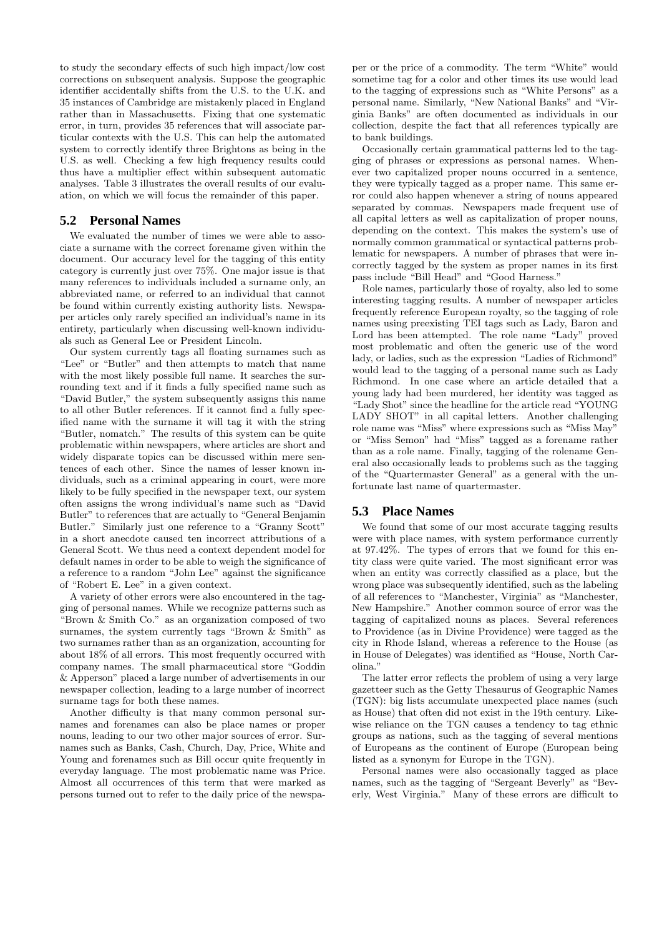to study the secondary effects of such high impact/low cost corrections on subsequent analysis. Suppose the geographic identifier accidentally shifts from the U.S. to the U.K. and 35 instances of Cambridge are mistakenly placed in England rather than in Massachusetts. Fixing that one systematic error, in turn, provides 35 references that will associate particular contexts with the U.S. This can help the automated system to correctly identify three Brightons as being in the U.S. as well. Checking a few high frequency results could thus have a multiplier effect within subsequent automatic analyses. Table 3 illustrates the overall results of our evaluation, on which we will focus the remainder of this paper.

## **5.2 Personal Names**

We evaluated the number of times we were able to associate a surname with the correct forename given within the document. Our accuracy level for the tagging of this entity category is currently just over 75%. One major issue is that many references to individuals included a surname only, an abbreviated name, or referred to an individual that cannot be found within currently existing authority lists. Newspaper articles only rarely specified an individual's name in its entirety, particularly when discussing well-known individuals such as General Lee or President Lincoln.

Our system currently tags all floating surnames such as "Lee" or "Butler" and then attempts to match that name with the most likely possible full name. It searches the surrounding text and if it finds a fully specified name such as "David Butler," the system subsequently assigns this name to all other Butler references. If it cannot find a fully specified name with the surname it will tag it with the string "Butler, nomatch." The results of this system can be quite problematic within newspapers, where articles are short and widely disparate topics can be discussed within mere sentences of each other. Since the names of lesser known individuals, such as a criminal appearing in court, were more likely to be fully specified in the newspaper text, our system often assigns the wrong individual's name such as "David Butler" to references that are actually to "General Benjamin Butler." Similarly just one reference to a "Granny Scott" in a short anecdote caused ten incorrect attributions of a General Scott. We thus need a context dependent model for default names in order to be able to weigh the significance of a reference to a random "John Lee" against the significance of "Robert E. Lee" in a given context.

A variety of other errors were also encountered in the tagging of personal names. While we recognize patterns such as "Brown & Smith Co." as an organization composed of two surnames, the system currently tags "Brown & Smith" as two surnames rather than as an organization, accounting for about 18% of all errors. This most frequently occurred with company names. The small pharmaceutical store "Goddin & Apperson" placed a large number of advertisements in our newspaper collection, leading to a large number of incorrect surname tags for both these names.

Another difficulty is that many common personal surnames and forenames can also be place names or proper nouns, leading to our two other major sources of error. Surnames such as Banks, Cash, Church, Day, Price, White and Young and forenames such as Bill occur quite frequently in everyday language. The most problematic name was Price. Almost all occurrences of this term that were marked as persons turned out to refer to the daily price of the newspa-

per or the price of a commodity. The term "White" would sometime tag for a color and other times its use would lead to the tagging of expressions such as "White Persons" as a personal name. Similarly, "New National Banks" and "Virginia Banks" are often documented as individuals in our collection, despite the fact that all references typically are to bank buildings.

Occasionally certain grammatical patterns led to the tagging of phrases or expressions as personal names. Whenever two capitalized proper nouns occurred in a sentence, they were typically tagged as a proper name. This same error could also happen whenever a string of nouns appeared separated by commas. Newspapers made frequent use of all capital letters as well as capitalization of proper nouns, depending on the context. This makes the system's use of normally common grammatical or syntactical patterns problematic for newspapers. A number of phrases that were incorrectly tagged by the system as proper names in its first pass include "Bill Head" and "Good Harness."

Role names, particularly those of royalty, also led to some interesting tagging results. A number of newspaper articles frequently reference European royalty, so the tagging of role names using preexisting TEI tags such as Lady, Baron and Lord has been attempted. The role name "Lady" proved most problematic and often the generic use of the word lady, or ladies, such as the expression "Ladies of Richmond" would lead to the tagging of a personal name such as Lady Richmond. In one case where an article detailed that a young lady had been murdered, her identity was tagged as "Lady Shot" since the headline for the article read "YOUNG LADY SHOT" in all capital letters. Another challenging role name was "Miss" where expressions such as "Miss May" or "Miss Semon" had "Miss" tagged as a forename rather than as a role name. Finally, tagging of the rolename General also occasionally leads to problems such as the tagging of the "Quartermaster General" as a general with the unfortunate last name of quartermaster.

## **5.3 Place Names**

We found that some of our most accurate tagging results were with place names, with system performance currently at 97.42%. The types of errors that we found for this entity class were quite varied. The most significant error was when an entity was correctly classified as a place, but the wrong place was subsequently identified, such as the labeling of all references to "Manchester, Virginia" as "Manchester, New Hampshire." Another common source of error was the tagging of capitalized nouns as places. Several references to Providence (as in Divine Providence) were tagged as the city in Rhode Island, whereas a reference to the House (as in House of Delegates) was identified as "House, North Carolina."

The latter error reflects the problem of using a very large gazetteer such as the Getty Thesaurus of Geographic Names (TGN): big lists accumulate unexpected place names (such as House) that often did not exist in the 19th century. Likewise reliance on the TGN causes a tendency to tag ethnic groups as nations, such as the tagging of several mentions of Europeans as the continent of Europe (European being listed as a synonym for Europe in the TGN).

Personal names were also occasionally tagged as place names, such as the tagging of "Sergeant Beverly" as "Beverly, West Virginia." Many of these errors are difficult to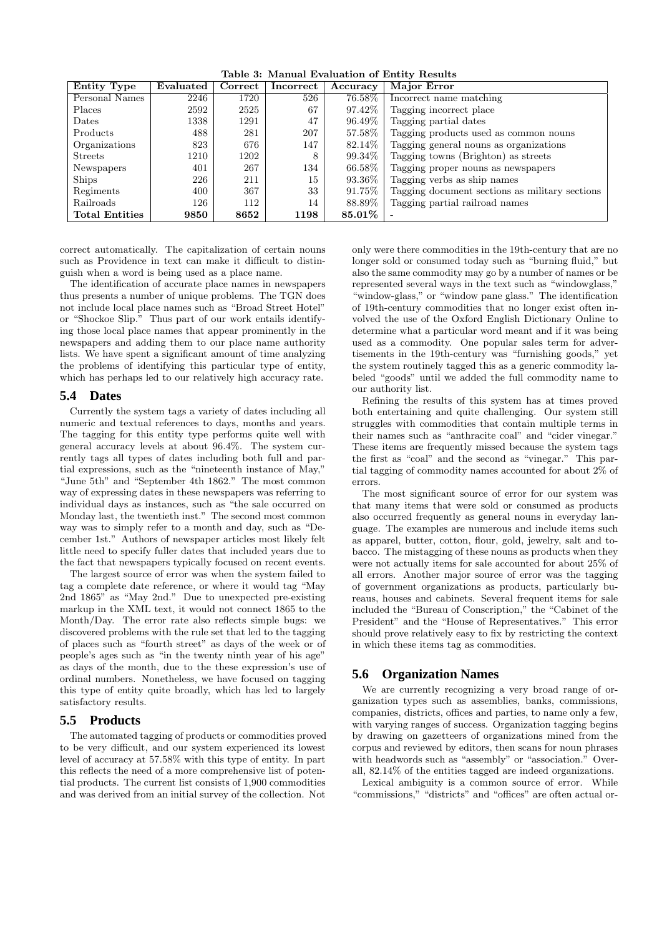| Table 3: Manual Evaluation of Entity Results |           |         |           |           |                                                |  |  |
|----------------------------------------------|-----------|---------|-----------|-----------|------------------------------------------------|--|--|
| <b>Entity Type</b>                           | Evaluated | Correct | Incorrect | Accuracy  | Major Error                                    |  |  |
| Personal Names                               | 2246      | 1720    | 526       | $76.58\%$ | Incorrect name matching                        |  |  |
| Places                                       | 2592      | 2525    | 67        | 97.42\%   | Tagging incorrect place                        |  |  |
| Dates                                        | 1338      | 1291    | 47        | 96.49\%   | Tagging partial dates                          |  |  |
| Products                                     | 488       | 281     | 207       | 57.58%    | Tagging products used as common nouns          |  |  |
| Organizations                                | 823       | 676     | 147       | 82.14\%   | Tagging general nouns as organizations         |  |  |
| <b>Streets</b>                               | 1210      | 1202    | 8         | 99.34\%   | Tagging towns (Brighton) as streets            |  |  |
| Newspapers                                   | 401       | 267     | 134       | 66.58%    | Tagging proper nouns as newspapers             |  |  |
| <b>Ships</b>                                 | 226       | 211     | 15        | 93.36\%   | Tagging verbs as ship names                    |  |  |
| Regiments                                    | 400       | 367     | 33        | $91.75\%$ | Tagging document sections as military sections |  |  |
| Railroads                                    | 126       | 112     | 14        | 88.89%    | Tagging partial railroad names                 |  |  |
| <b>Total Entities</b>                        | 9850      | 8652    | 1198      | $85.01\%$ |                                                |  |  |

correct automatically. The capitalization of certain nouns such as Providence in text can make it difficult to distinguish when a word is being used as a place name.

The identification of accurate place names in newspapers thus presents a number of unique problems. The TGN does not include local place names such as "Broad Street Hotel" or "Shockoe Slip." Thus part of our work entails identifying those local place names that appear prominently in the newspapers and adding them to our place name authority lists. We have spent a significant amount of time analyzing the problems of identifying this particular type of entity, which has perhaps led to our relatively high accuracy rate.

#### **5.4 Dates**

Currently the system tags a variety of dates including all numeric and textual references to days, months and years. The tagging for this entity type performs quite well with general accuracy levels at about 96.4%. The system currently tags all types of dates including both full and partial expressions, such as the "nineteenth instance of May," "June 5th" and "September 4th 1862." The most common way of expressing dates in these newspapers was referring to individual days as instances, such as "the sale occurred on Monday last, the twentieth inst." The second most common way was to simply refer to a month and day, such as "December 1st." Authors of newspaper articles most likely felt little need to specify fuller dates that included years due to the fact that newspapers typically focused on recent events.

The largest source of error was when the system failed to tag a complete date reference, or where it would tag "May 2nd 1865" as "May 2nd." Due to unexpected pre-existing markup in the XML text, it would not connect 1865 to the Month/Day. The error rate also reflects simple bugs: we discovered problems with the rule set that led to the tagging of places such as "fourth street" as days of the week or of people's ages such as "in the twenty ninth year of his age" as days of the month, due to the these expression's use of ordinal numbers. Nonetheless, we have focused on tagging this type of entity quite broadly, which has led to largely satisfactory results.

## **5.5 Products**

The automated tagging of products or commodities proved to be very difficult, and our system experienced its lowest level of accuracy at 57.58% with this type of entity. In part this reflects the need of a more comprehensive list of potential products. The current list consists of 1,900 commodities and was derived from an initial survey of the collection. Not

only were there commodities in the 19th-century that are no longer sold or consumed today such as "burning fluid," but also the same commodity may go by a number of names or be represented several ways in the text such as "windowglass," "window-glass," or "window pane glass." The identification of 19th-century commodities that no longer exist often involved the use of the Oxford English Dictionary Online to determine what a particular word meant and if it was being used as a commodity. One popular sales term for advertisements in the 19th-century was "furnishing goods," yet the system routinely tagged this as a generic commodity labeled "goods" until we added the full commodity name to our authority list.

Refining the results of this system has at times proved both entertaining and quite challenging. Our system still struggles with commodities that contain multiple terms in their names such as "anthracite coal" and "cider vinegar." These items are frequently missed because the system tags the first as "coal" and the second as "vinegar." This partial tagging of commodity names accounted for about 2% of errors.

The most significant source of error for our system was that many items that were sold or consumed as products also occurred frequently as general nouns in everyday language. The examples are numerous and include items such as apparel, butter, cotton, flour, gold, jewelry, salt and tobacco. The mistagging of these nouns as products when they were not actually items for sale accounted for about 25% of all errors. Another major source of error was the tagging of government organizations as products, particularly bureaus, houses and cabinets. Several frequent items for sale included the "Bureau of Conscription," the "Cabinet of the President" and the "House of Representatives." This error should prove relatively easy to fix by restricting the context in which these items tag as commodities.

## **5.6 Organization Names**

We are currently recognizing a very broad range of organization types such as assemblies, banks, commissions, companies, districts, offices and parties, to name only a few, with varying ranges of success. Organization tagging begins by drawing on gazetteers of organizations mined from the corpus and reviewed by editors, then scans for noun phrases with headwords such as "assembly" or "association." Overall, 82.14% of the entities tagged are indeed organizations.

Lexical ambiguity is a common source of error. While "commissions," "districts" and "offices" are often actual or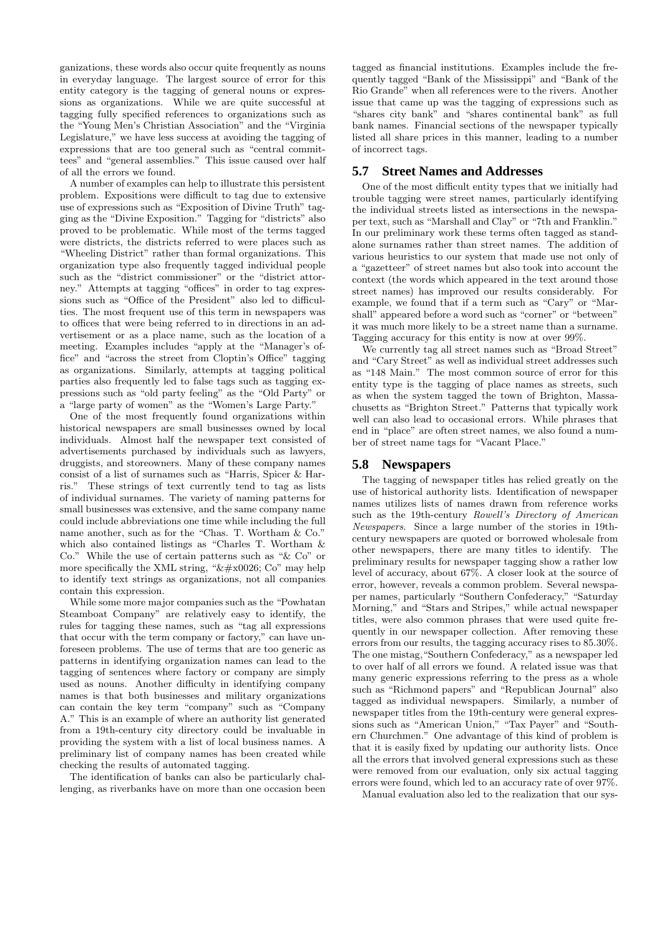ganizations, these words also occur quite frequently as nouns in everyday language. The largest source of error for this entity category is the tagging of general nouns or expressions as organizations. While we are quite successful at tagging fully specified references to organizations such as the "Young Men's Christian Association" and the "Virginia Legislature," we have less success at avoiding the tagging of expressions that are too general such as "central committees" and "general assemblies." This issue caused over half of all the errors we found.

A number of examples can help to illustrate this persistent problem. Expositions were difficult to tag due to extensive use of expressions such as "Exposition of Divine Truth" tagging as the "Divine Exposition." Tagging for "districts" also proved to be problematic. While most of the terms tagged were districts, the districts referred to were places such as "Wheeling District" rather than formal organizations. This organization type also frequently tagged individual people such as the "district commissioner" or the "district attorney." Attempts at tagging "offices" in order to tag expressions such as "Office of the President" also led to difficulties. The most frequent use of this term in newspapers was to offices that were being referred to in directions in an advertisement or as a place name, such as the location of a meeting. Examples includes "apply at the "Manager's office" and "across the street from Cloptin's Office" tagging as organizations. Similarly, attempts at tagging political parties also frequently led to false tags such as tagging expressions such as "old party feeling" as the "Old Party" or a "large party of women" as the "Women's Large Party.

One of the most frequently found organizations within historical newspapers are small businesses owned by local individuals. Almost half the newspaper text consisted of advertisements purchased by individuals such as lawyers, druggists, and storeowners. Many of these company names consist of a list of surnames such as "Harris, Spicer & Harris." These strings of text currently tend to tag as lists of individual surnames. The variety of naming patterns for small businesses was extensive, and the same company name could include abbreviations one time while including the full name another, such as for the "Chas. T. Wortham & Co." which also contained listings as "Charles T. Wortham & Co." While the use of certain patterns such as "& Co" or more specifically the XML string, " $\&\#x0026$ ; Co" may help to identify text strings as organizations, not all companies contain this expression.

While some more major companies such as the "Powhatan Steamboat Company" are relatively easy to identify, the rules for tagging these names, such as "tag all expressions that occur with the term company or factory," can have unforeseen problems. The use of terms that are too generic as patterns in identifying organization names can lead to the tagging of sentences where factory or company are simply used as nouns. Another difficulty in identifying company names is that both businesses and military organizations can contain the key term "company" such as "Company A." This is an example of where an authority list generated from a 19th-century city directory could be invaluable in providing the system with a list of local business names. A preliminary list of company names has been created while checking the results of automated tagging.

The identification of banks can also be particularly challenging, as riverbanks have on more than one occasion been

tagged as financial institutions. Examples include the frequently tagged "Bank of the Mississippi" and "Bank of the Rio Grande" when all references were to the rivers. Another issue that came up was the tagging of expressions such as "shares city bank" and "shares continental bank" as full bank names. Financial sections of the newspaper typically listed all share prices in this manner, leading to a number of incorrect tags.

## **5.7 Street Names and Addresses**

One of the most difficult entity types that we initially had trouble tagging were street names, particularly identifying the individual streets listed as intersections in the newspaper text, such as "Marshall and Clay" or "7th and Franklin." In our preliminary work these terms often tagged as standalone surnames rather than street names. The addition of various heuristics to our system that made use not only of a "gazetteer" of street names but also took into account the context (the words which appeared in the text around those street names) has improved our results considerably. For example, we found that if a term such as "Cary" or "Marshall" appeared before a word such as "corner" or "between" it was much more likely to be a street name than a surname. Tagging accuracy for this entity is now at over 99%.

We currently tag all street names such as "Broad Street" and "Cary Street" as well as individual street addresses such as "148 Main." The most common source of error for this entity type is the tagging of place names as streets, such as when the system tagged the town of Brighton, Massachusetts as "Brighton Street." Patterns that typically work well can also lead to occasional errors. While phrases that end in "place" are often street names, we also found a number of street name tags for "Vacant Place."

## **5.8 Newspapers**

The tagging of newspaper titles has relied greatly on the use of historical authority lists. Identification of newspaper names utilizes lists of names drawn from reference works such as the 19th-century Rowell's Directory of American Newspapers. Since a large number of the stories in 19thcentury newspapers are quoted or borrowed wholesale from other newspapers, there are many titles to identify. The preliminary results for newspaper tagging show a rather low level of accuracy, about 67%. A closer look at the source of error, however, reveals a common problem. Several newspaper names, particularly "Southern Confederacy," "Saturday Morning," and "Stars and Stripes," while actual newspaper titles, were also common phrases that were used quite frequently in our newspaper collection. After removing these errors from our results, the tagging accuracy rises to 85.30%. The one mistag,"Southern Confederacy," as a newspaper led to over half of all errors we found. A related issue was that many generic expressions referring to the press as a whole such as "Richmond papers" and "Republican Journal" also tagged as individual newspapers. Similarly, a number of newspaper titles from the 19th-century were general expressions such as "American Union," "Tax Payer" and "Southern Churchmen." One advantage of this kind of problem is that it is easily fixed by updating our authority lists. Once all the errors that involved general expressions such as these were removed from our evaluation, only six actual tagging errors were found, which led to an accuracy rate of over 97%.

Manual evaluation also led to the realization that our sys-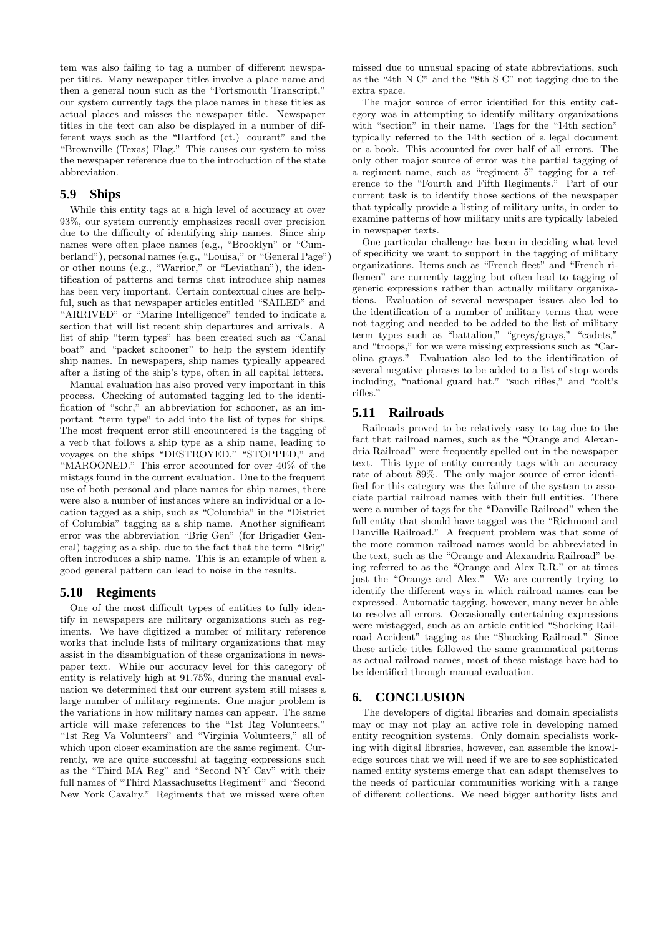tem was also failing to tag a number of different newspaper titles. Many newspaper titles involve a place name and then a general noun such as the "Portsmouth Transcript," our system currently tags the place names in these titles as actual places and misses the newspaper title. Newspaper titles in the text can also be displayed in a number of different ways such as the "Hartford (ct.) courant" and the "Brownville (Texas) Flag." This causes our system to miss the newspaper reference due to the introduction of the state abbreviation.

## **5.9 Ships**

While this entity tags at a high level of accuracy at over 93%, our system currently emphasizes recall over precision due to the difficulty of identifying ship names. Since ship names were often place names (e.g., "Brooklyn" or "Cumberland"), personal names (e.g., "Louisa," or "General Page") or other nouns (e.g., "Warrior," or "Leviathan"), the identification of patterns and terms that introduce ship names has been very important. Certain contextual clues are helpful, such as that newspaper articles entitled "SAILED" and "ARRIVED" or "Marine Intelligence" tended to indicate a section that will list recent ship departures and arrivals. A list of ship "term types" has been created such as "Canal boat" and "packet schooner" to help the system identify ship names. In newspapers, ship names typically appeared after a listing of the ship's type, often in all capital letters.

Manual evaluation has also proved very important in this process. Checking of automated tagging led to the identification of "schr," an abbreviation for schooner, as an important "term type" to add into the list of types for ships. The most frequent error still encountered is the tagging of a verb that follows a ship type as a ship name, leading to voyages on the ships "DESTROYED," "STOPPED," and "MAROONED." This error accounted for over 40% of the mistags found in the current evaluation. Due to the frequent use of both personal and place names for ship names, there were also a number of instances where an individual or a location tagged as a ship, such as "Columbia" in the "District of Columbia" tagging as a ship name. Another significant error was the abbreviation "Brig Gen" (for Brigadier General) tagging as a ship, due to the fact that the term "Brig" often introduces a ship name. This is an example of when a good general pattern can lead to noise in the results.

# **5.10 Regiments**

One of the most difficult types of entities to fully identify in newspapers are military organizations such as regiments. We have digitized a number of military reference works that include lists of military organizations that may assist in the disambiguation of these organizations in newspaper text. While our accuracy level for this category of entity is relatively high at 91.75%, during the manual evaluation we determined that our current system still misses a large number of military regiments. One major problem is the variations in how military names can appear. The same article will make references to the "1st Reg Volunteers," "1st Reg Va Volunteers" and "Virginia Volunteers," all of which upon closer examination are the same regiment. Currently, we are quite successful at tagging expressions such as the "Third MA Reg" and "Second NY Cav" with their full names of "Third Massachusetts Regiment" and "Second New York Cavalry." Regiments that we missed were often

missed due to unusual spacing of state abbreviations, such as the "4th N C" and the "8th S C" not tagging due to the extra space.

The major source of error identified for this entity category was in attempting to identify military organizations with "section" in their name. Tags for the "14th section" typically referred to the 14th section of a legal document or a book. This accounted for over half of all errors. The only other major source of error was the partial tagging of a regiment name, such as "regiment 5" tagging for a reference to the "Fourth and Fifth Regiments." Part of our current task is to identify those sections of the newspaper that typically provide a listing of military units, in order to examine patterns of how military units are typically labeled in newspaper texts.

One particular challenge has been in deciding what level of specificity we want to support in the tagging of military organizations. Items such as "French fleet" and "French riflemen" are currently tagging but often lead to tagging of generic expressions rather than actually military organizations. Evaluation of several newspaper issues also led to the identification of a number of military terms that were not tagging and needed to be added to the list of military term types such as "battalion," "greys/grays," "cadets," and "troops," for we were missing expressions such as "Carolina grays." Evaluation also led to the identification of several negative phrases to be added to a list of stop-words including, "national guard hat," "such rifles," and "colt's rifles."

## **5.11 Railroads**

Railroads proved to be relatively easy to tag due to the fact that railroad names, such as the "Orange and Alexandria Railroad" were frequently spelled out in the newspaper text. This type of entity currently tags with an accuracy rate of about 89%. The only major source of error identified for this category was the failure of the system to associate partial railroad names with their full entities. There were a number of tags for the "Danville Railroad" when the full entity that should have tagged was the "Richmond and Danville Railroad." A frequent problem was that some of the more common railroad names would be abbreviated in the text, such as the "Orange and Alexandria Railroad" being referred to as the "Orange and Alex R.R." or at times just the "Orange and Alex." We are currently trying to identify the different ways in which railroad names can be expressed. Automatic tagging, however, many never be able to resolve all errors. Occasionally entertaining expressions were mistagged, such as an article entitled "Shocking Railroad Accident" tagging as the "Shocking Railroad." Since these article titles followed the same grammatical patterns as actual railroad names, most of these mistags have had to be identified through manual evaluation.

# **6. CONCLUSION**

The developers of digital libraries and domain specialists may or may not play an active role in developing named entity recognition systems. Only domain specialists working with digital libraries, however, can assemble the knowledge sources that we will need if we are to see sophisticated named entity systems emerge that can adapt themselves to the needs of particular communities working with a range of different collections. We need bigger authority lists and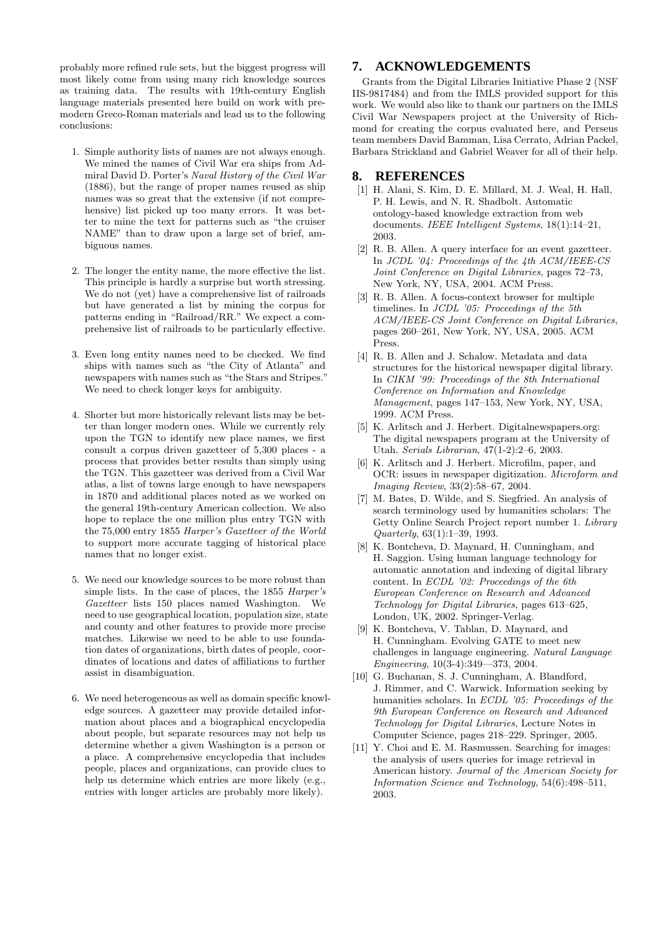probably more refined rule sets, but the biggest progress will most likely come from using many rich knowledge sources as training data. The results with 19th-century English language materials presented here build on work with premodern Greco-Roman materials and lead us to the following conclusions:

- 1. Simple authority lists of names are not always enough. We mined the names of Civil War era ships from Admiral David D. Porter's Naval History of the Civil War (1886), but the range of proper names reused as ship names was so great that the extensive (if not comprehensive) list picked up too many errors. It was better to mine the text for patterns such as "the cruiser NAME" than to draw upon a large set of brief, ambiguous names.
- 2. The longer the entity name, the more effective the list. This principle is hardly a surprise but worth stressing. We do not (yet) have a comprehensive list of railroads but have generated a list by mining the corpus for patterns ending in "Railroad/RR." We expect a comprehensive list of railroads to be particularly effective.
- 3. Even long entity names need to be checked. We find ships with names such as "the City of Atlanta" and newspapers with names such as "the Stars and Stripes." We need to check longer keys for ambiguity.
- 4. Shorter but more historically relevant lists may be better than longer modern ones. While we currently rely upon the TGN to identify new place names, we first consult a corpus driven gazetteer of 5,300 places - a process that provides better results than simply using the TGN. This gazetteer was derived from a Civil War atlas, a list of towns large enough to have newspapers in 1870 and additional places noted as we worked on the general 19th-century American collection. We also hope to replace the one million plus entry TGN with the 75,000 entry 1855 Harper's Gazetteer of the World to support more accurate tagging of historical place names that no longer exist.
- 5. We need our knowledge sources to be more robust than simple lists. In the case of places, the 1855 Harper's Gazetteer lists 150 places named Washington. We need to use geographical location, population size, state and county and other features to provide more precise matches. Likewise we need to be able to use foundation dates of organizations, birth dates of people, coordinates of locations and dates of affiliations to further assist in disambiguation.
- 6. We need heterogeneous as well as domain specific knowledge sources. A gazetteer may provide detailed information about places and a biographical encyclopedia about people, but separate resources may not help us determine whether a given Washington is a person or a place. A comprehensive encyclopedia that includes people, places and organizations, can provide clues to help us determine which entries are more likely (e.g., entries with longer articles are probably more likely).

## **7. ACKNOWLEDGEMENTS**

Grants from the Digital Libraries Initiative Phase 2 (NSF IIS-9817484) and from the IMLS provided support for this work. We would also like to thank our partners on the IMLS Civil War Newspapers project at the University of Richmond for creating the corpus evaluated here, and Perseus team members David Bamman, Lisa Cerrato, Adrian Packel, Barbara Strickland and Gabriel Weaver for all of their help.

#### **8. REFERENCES**

- [1] H. Alani, S. Kim, D. E. Millard, M. J. Weal, H. Hall, P. H. Lewis, and N. R. Shadbolt. Automatic ontology-based knowledge extraction from web documents. IEEE Intelligent Systems, 18(1):14–21, 2003.
- [2] R. B. Allen. A query interface for an event gazetteer. In JCDL '04: Proceedings of the 4th ACM/IEEE-CS Joint Conference on Digital Libraries, pages 72–73, New York, NY, USA, 2004. ACM Press.
- [3] R. B. Allen. A focus-context browser for multiple timelines. In JCDL '05: Proceedings of the 5th ACM/IEEE-CS Joint Conference on Digital Libraries, pages 260–261, New York, NY, USA, 2005. ACM Press.
- [4] R. B. Allen and J. Schalow. Metadata and data structures for the historical newspaper digital library. In CIKM '99: Proceedings of the 8th International Conference on Information and Knowledge Management, pages 147–153, New York, NY, USA, 1999. ACM Press.
- [5] K. Arlitsch and J. Herbert. Digitalnewspapers.org: The digital newspapers program at the University of Utah. Serials Librarian, 47(1-2):2–6, 2003.
- [6] K. Arlitsch and J. Herbert. Microfilm, paper, and OCR: issues in newspaper digitization. Microform and Imaging Review, 33(2):58–67, 2004.
- [7] M. Bates, D. Wilde, and S. Siegfried. An analysis of search terminology used by humanities scholars: The Getty Online Search Project report number 1. Library Quarterly, 63(1):1–39, 1993.
- [8] K. Bontcheva, D. Maynard, H. Cunningham, and H. Saggion. Using human language technology for automatic annotation and indexing of digital library content. In ECDL '02: Proceedings of the 6th European Conference on Research and Advanced Technology for Digital Libraries, pages 613–625, London, UK, 2002. Springer-Verlag.
- [9] K. Bontcheva, V. Tablan, D. Maynard, and H. Cunningham. Evolving GATE to meet new challenges in language engineering. Natural Language Engineering, 10(3-4):349—373, 2004.
- [10] G. Buchanan, S. J. Cunningham, A. Blandford, J. Rimmer, and C. Warwick. Information seeking by humanities scholars. In ECDL '05: Proceedings of the 9th European Conference on Research and Advanced Technology for Digital Libraries, Lecture Notes in Computer Science, pages 218–229. Springer, 2005.
- [11] Y. Choi and E. M. Rasmussen. Searching for images: the analysis of users queries for image retrieval in American history. Journal of the American Society for Information Science and Technology, 54(6):498–511, 2003.